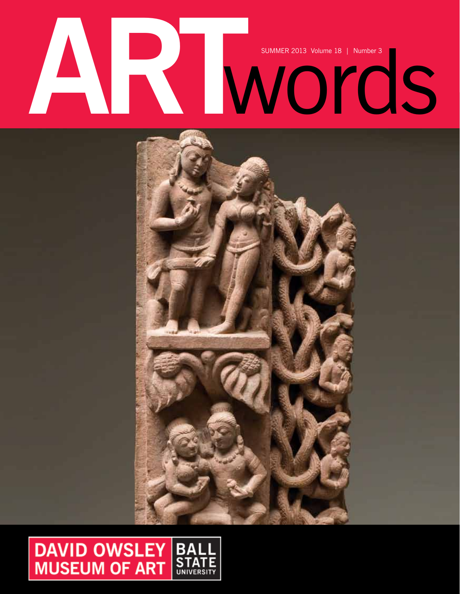# SUMMER 2013 Volume 18 | Number 3



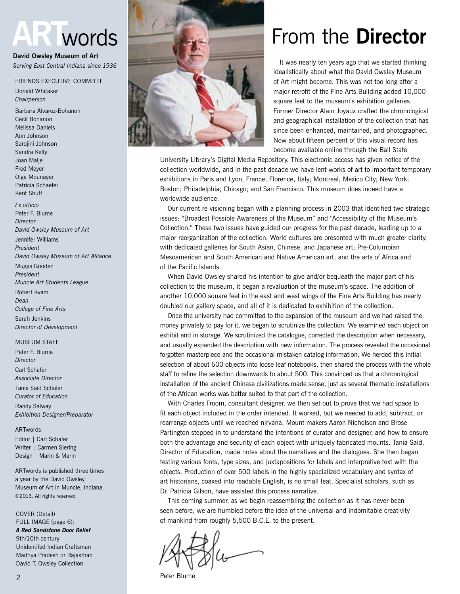# **ART**words

**David Owsley Museum of Art** *Serving East Central Indiana since 1936*

Friends Executive Committe

Donald Whitaker *Chairperson*

Barbara Alvarez-Bohanon Cecil Bohanon Melissa Daniels Ann Johnson Sarojini Johnson Sandra Kelly Joan Malje Fred Meyer Olga Mounayar Patricia Schaefer Kent Shuff *Ex officio*

Peter F. Blume *Director David Owsley Museum of Art* Jennifer Williams

*President David Owsley Museum of Art Alliance*

Muggs Gooden *President Muncie Art Students League*

Robert Kvam *Dean College of Fine Arts* Sarah Jenkins *Director of Development*

#### Museum Staff

Peter F. Blume *Director* Carl Schafer *Associate Director* Tania Said Schuler *Curator of Education* Randy Salway *Exhibition Designer/Preparator*

#### ARTwords

Editor | Carl Schafer Writer | Carmen Siering Design | Marin & Marin

ARTwords is published three times a year by the David Owsley Museum of Art in Muncie, Indiana ©2013. All rights reserved

COVER (Detail) FULL IMAGE (page 6): *A Red Sandstone Door Relief* 9th/10th century Unidentifed Indian Craftsman Madhya Pradesh or Rajasthan David T. Owsley Collection



# From the **Director**

 It was nearly ten years ago that we started thinking idealistically about what the David Owsley Museum of Art might become. This was not too long after a major retrofit of the Fine Arts Building added 10,000 square feet to the museum's exhibition galleries. Former Director Alain Joyaux crafted the chronological and geographical installation of the collection that has since been enhanced, maintained, and photographed. Now about fifteen percent of this visual record has become available online through the Ball State

University Library's Digital Media Repository. This electronic access has given notice of the collection worldwide, and in the past decade we have lent works of art to important temporary exhibitions in Paris and Lyon, France; Florence, Italy; Montreal; Mexico City; New York; Boston; Philadelphia; Chicago; and San Francisco. This museum does indeed have a worldwide audience.

 Our current re-visioning began with a planning process in 2003 that identified two strategic issues: "Broadest Possible Awareness of the Museum" and "Accessibility of the Museum's Collection." These two issues have guided our progress for the past decade, leading up to a major reorganization of the collection. World cultures are presented with much greater clarity, with dedicated galleries for South Asian, Chinese, and Japanese art; Pre-Columbian Mesoamerican and South American and Native American art; and the arts of Africa and of the Pacific Islands.

When David Owsley shared his intention to give and/or bequeath the major part of his collection to the museum, it began a revaluation of the museum's space. The addition of another 10,000 square feet in the east and west wings of the Fine Arts Building has nearly doubled our gallery space, and all of it is dedicated to exhibition of the collection.

 Once the university had committed to the expansion of the museum and we had raised the money privately to pay for it, we began to scrutinize the collection. We examined each object on exhibit and in storage. We scrutinized the catalogue, corrected the description when necessary, and usually expanded the description with new information. The process revealed the occasional forgotten masterpiece and the occasional mistaken catalog information. We herded this initial selection of about 600 objects into loose-leaf notebooks, then shared the process with the whole staff to refine the selection downwards to about 500. This convinced us that a chronological installation of the ancient Chinese civilizations made sense, just as several thematic installations of the African works was better suited to that part of the collection.

With Charles Froom, consultant designer, we then set out to prove that we had space to fit each object included in the order intended. It worked, but we needed to add, subtract, or rearrange objects until we reached nirvana. Mount makers Aaron Nicholson and Brose Partington stepped in to understand the intentions of curator and designer, and how to ensure both the advantage and security of each object with uniquely fabricated mounts. Tania Said, Director of Education, made notes about the narratives and the dialogues. She then began testing various fonts, type sizes, and juxtapositions for labels and interpretive text with the objects. Production of over 500 labels in the highly specialized vocabulary and syntax of art historians, coaxed into readable English, is no small feat. Specialist scholars, such as Dr. Patricia Gilson, have assisted this process narrative.

 This coming summer, as we begin reassembling the collection as it has never been seen before, we are humbled before the idea of the universal and indomitable creativity of mankind from roughly 5,500 B.C.E. to the present.

Peter Blume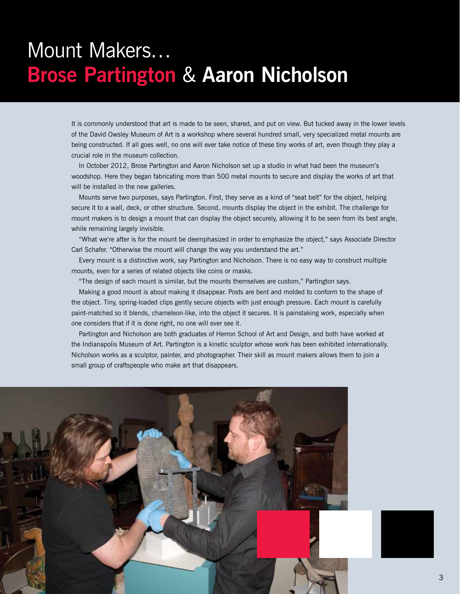# Mount Makers… **Brose Partington** & **Aaron Nicholson**

It is commonly understood that art is made to be seen, shared, and put on view. But tucked away in the lower levels of the David Owsley Museum of Art is a workshop where several hundred small, very specialized metal mounts are being constructed. If all goes well, no one will ever take notice of these tiny works of art, even though they play a crucial role in the museum collection.

 In October 2012, Brose Partington and Aaron Nicholson set up a studio in what had been the museum's woodshop. Here they began fabricating more than 500 metal mounts to secure and display the works of art that will be installed in the new galleries.

 Mounts serve two purposes, says Partington. First, they serve as a kind of "seat belt" for the object, helping secure it to a wall, deck, or other structure. Second, mounts display the object in the exhibit. The challenge for mount makers is to design a mount that can display the object securely, allowing it to be seen from its best angle, while remaining largely invisible.

"What we're after is for the mount be deemphasized in order to emphasize the object," says Associate Director Carl Schafer. "Otherwise the mount will change the way you understand the art."

 Every mount is a distinctive work, say Partington and Nicholson. There is no easy way to construct multiple mounts, even for a series of related objects like coins or masks.

"The design of each mount is similar, but the mounts themselves are custom," Partington says.

 Making a good mount is about making it disappear. Posts are bent and molded to conform to the shape of the object. Tiny, spring-loaded clips gently secure objects with just enough pressure. Each mount is carefully paint-matched so it blends, chameleon-like, into the object it secures. It is painstaking work, especially when one considers that if it is done right, no one will ever see it.

Partington and Nicholson are both graduates of Herron School of Art and Design, and both have worked at the Indianapolis Museum of Art. Partington is a kinetic sculptor whose work has been exhibited internationally. Nicholson works as a sculptor, painter, and photographer. Their skill as mount makers allows them to join a small group of craftspeople who make art that disappears.



3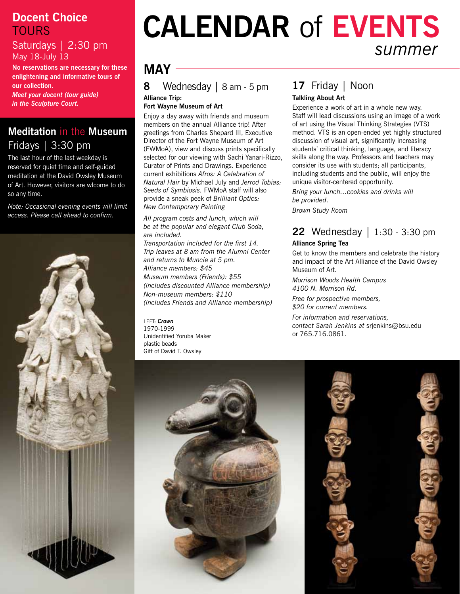#### **Docent Choice TOURS**

Saturdays | 2:30 pm May 18-July 13

**No reservations are necessary for these enlightening and informative tours of our collection.**  *Meet your docent (tour guide)* 

*in the Sculpture Court.*

#### **Meditation** in the **Museum** Fridays | 3:30 pm

The last hour of the last weekday is reserved for quiet time and self-guided meditation at the David Owsley Museum of Art. However, visitors are wlcome to do so any time.

*Note: Occasional evening events will limit access. Please call ahead to confirm.*



# **Calendar** of **Events** *summer*

# **may**

**8** Wednesday | 8 am - 5 pm **Alliance Trip:** 

**Fort Wayne Museum of Art**

Enjoy a day away with friends and museum members on the annual Alliance trip! After greetings from Charles Shepard III, Executive Director of the Fort Wayne Museum of Art (FWMoA), view and discuss prints specifically selected for our viewing with Sachi Yanari-Rizzo, Curator of Prints and Drawings. Experience current exhibitions *Afros: A Celebration of Natural Hair* by Michael July and *Jerrod Tobias: Seeds of Symbiosis.* FWMoA staff will also provide a sneak peek of *Brilliant Optics: New Contemporary Painting*

*All program costs and lunch, which will be at the popular and elegant Club Soda, are included. Transportation included for the first 14. Trip leaves at 8 am from the Alumni Center and returns to Muncie at 5 pm. Alliance members: \$45 Museum members (Friends): \$55 (includes discounted Alliance membership) Non-museum members: \$110 (includes Friends and Alliance membership)*

LEFT: *Crown* 1970-1999 Unidentified Yoruba Maker plastic beads Gift of David T. Owsley

#### **17** Friday | Noon **Talkling About Art**

Experience a work of art in a whole new way. Staff will lead discussions using an image of a work of art using the Visual Thinking Strategies (VTS) method. VTS is an open-ended yet highly structured discussion of visual art, significantly increasing students' critical thinking, language, and literacy skills along the way. Professors and teachers may consider its use with students; all participants, including students and the public, will enjoy the unique visitor-centered opportunity.

*Bring your lunch…cookies and drinks will be provided*.

*Brown Study Room*

#### **22** Wednesday | 1:30 - 3:30 pm **Alliance Spring Tea**

Get to know the members and celebrate the history and impact of the Art Alliance of the David Owsley Museum of Art.

*Morrison Woods Health Campus 4100 N. Morrison Rd.*

*Free for prospective members, \$20 for current members.*

*For information and reservations, contact Sarah Jenkins at* srjenkins@bsu.edu or 765.716.0861.



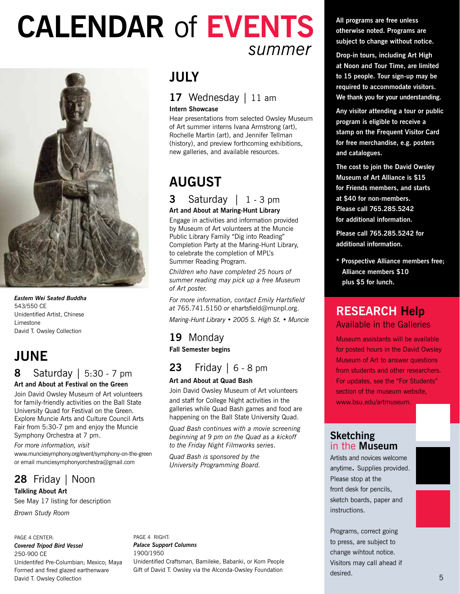# **Calendar** of **Events** *summer*



*Eastern Wei Seated Buddha* 543/550 CE Unidentified Artist, Chinese Limestone David T. Owsley Collection

# **june**

#### **8** Saturday | 5:30 - 7 pm **Art and About at Festival on the Green**

Join David Owsley Museum of Art volunteers for family-friendly activities on the Ball State University Quad for Festival on the Green. Explore Muncie Arts and Culture Council Arts Fair from 5:30-7 pm and enjoy the Muncie Symphony Orchestra at 7 pm.

*For more information, visit* 

www.munciesymphony.org/event/symphony-on-the-green or email munciesymphonyorchestra@gmail.com

## **28** Friday | Noon

**Talkling About Art** See May 17 listing for description *Brown Study Room*

#### page 4 center: *Covered Tripod Bird Vessel* 250-900 CE Unidentifed Pre-Columbian; Mexico; Maya Formed and fired glazed earthenware David T. Owsley Collection

#### page 4 right: *Palace Support Columns*  1900/1950 Unidentified Craftsman, Bamileke, Babanki, or Kom People Gift of David T. Owsley via the Alconda-Owsley Foundation

# **july**

#### 17 Wednesday | 11 am **Intern Showcase**

Hear presentations from selected Owsley Museum of Art summer interns Ivana Armstrong (art), Rochelle Martin (art), and Jennifer Tellman (history), and preview forthcoming exhibitions, new galleries, and available resources.

# **august**

#### **3** Saturday | 1 - 3 pm **Art and About at Maring-Hunt Library**

Engage in activities and information provided by Museum of Art volunteers at the Muncie Public Library Family "Dig into Reading" Completion Party at the Maring-Hunt Library, to celebrate the completion of MPL's Summer Reading Program.

*Children who have completed 25 hours of summer reading may pick up a free Museum of Art poster.* 

*For more information, contact Emily Hartsfield at* 765.741.5150 *or* ehartsfield@munpl.org.

*Maring-Hunt Library • 2005 S. High St. • Muncie*

#### **19** Monday **Fall Semester begins**

# **23** Friday | 6 - 8 pm

#### **Art and About at Quad Bash**

Join David Owsley Museum of Art volunteers and staff for College Night activities in the galleries while Quad Bash games and food are happening on the Ball State University Quad.

*Quad Bash continues with a movie screening beginning at 9 pm on the Quad as a kickoff to the Friday Night Filmworks series*.

*Quad Bash is sponsored by the University Programming Board.*

#### **All programs are free unless otherwise noted. Programs are subject to change without notice.**

**Drop-in tours, including Art High at Noon and Tour Time, are limited to 15 people. Tour sign-up may be required to accommodate visitors. We thank you for your understanding.**

**Any visitor attending a tour or public program is eligible to receive a stamp on the Frequent Visitor Card for free merchandise, e.g. posters and catalogues.**

**The cost to join the David Owsley Museum of Art Alliance is \$15 for Friends members, and starts at \$40 for non-members. Please call 765.285.5242 for additional information.**

**Please call 765.285.5242 for additional information.**

**\* Prospective Alliance members free; Alliance members \$10 plus \$5 for lunch.**

#### **Research Help** Available in the Galleries

Museum assistants will be available for posted hours in the David Owsley Museum of Art to answer questions from students and other researchers. For updates, see the "For Students" section of the museum website, www.bsu.edu/artmuseum.

#### **Sketching** in the **Museum**

Artists and novices welcome anytime. Supplies provided. Please stop at the front desk for pencils, sketch boards, paper and instructions.

Programs, correct going to press, are subject to change wihtout notice. Visitors may call ahead if desired.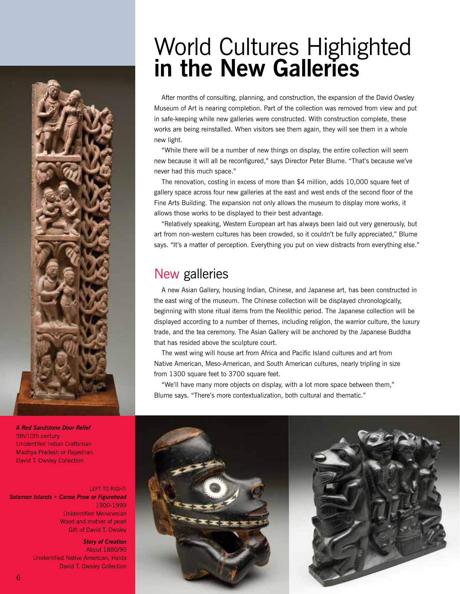# World Cultures Highighted **in the New Galleries**

After months of consulting, planning, and construction, the expansion of the David Owsley Museum of Art is nearing completion. Part of the collection was removed from view and put in safe-keeping while new galleries were constructed. With construction complete, these works are being reinstalled. When visitors see them again, they will see them in a whole new light.

"While there will be a number of new things on display, the entire collection will seem new because it will all be reconfigured," says Director Peter Blume. "That's because we've never had this much space."

 The renovation, costing in excess of more than \$4 million, adds 10,000 square feet of gallery space across four new galleries at the east and west ends of the second floor of the Fine Arts Building. The expansion not only allows the museum to display more works, it allows those works to be displayed to their best advantage.

"Relatively speaking, Western European art has always been laid out very generously, but art from non-western cultures has been crowded, so it couldn't be fully appreciated," Blume says. "It's a matter of perception. Everything you put on view distracts from everything else."

# New galleries

A new Asian Gallery, housing Indian, Chinese, and Japanese art, has been constructed in the east wing of the museum. The Chinese collection will be displayed chronologically, beginning with stone ritual items from the Neolithic period. The Japanese collection will be displayed according to a number of themes, including religion, the warrior culture, the luxury trade, and the tea ceremony. The Asian Gallery will be anchored by the Japanese Buddha that has resided above the sculpture court.

 The west wing will house art from Africa and Pacific Island cultures and art from Native American, Meso-American, and South American cultures, nearly tripling in size from 1300 square feet to 3700 square feet.

"We'll have many more objects on display, with a lot more space between them," Blume says. "There's more contextualization, both cultural and thematic."



*A Red Sandstone Door Relief* 9th/10th century Unidentifed Indian Craftsman Madhya Pradesh or Rajasthan David T. Owsley Collection

left to right: *Solomon Islands • Canoe Prow or Figurehead* 1900-1999 Unidentified Menanesian Wood and mother of pearl Gift of David T. Owsley

> *Story of Creation*  About 1880/90 Unidentified Native American; Haida David T. Owsley Collection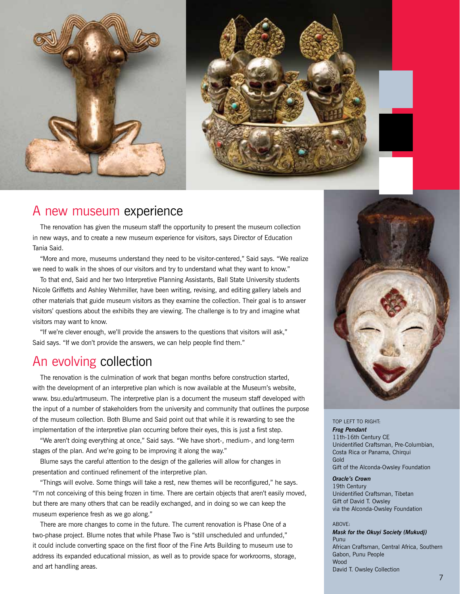



#### A new museum experience

 The renovation has given the museum staff the opportunity to present the museum collection in new ways, and to create a new museum experience for visitors, says Director of Education Tania Said.

"More and more, museums understand they need to be visitor-centered," Said says. "We realize we need to walk in the shoes of our visitors and try to understand what they want to know."

 To that end, Said and her two Interpretive Planning Assistants, Ball State University students Nicole Griffetts and Ashley Wehmiller, have been writing, revising, and editing gallery labels and other materials that guide museum visitors as they examine the collection. Their goal is to answer visitors' questions about the exhibits they are viewing. The challenge is to try and imagine what visitors may want to know.

"If we're clever enough, we'll provide the answers to the questions that visitors will ask," Said says. "If we don't provide the answers, we can help people find them."

### An evolving collection

 The renovation is the culmination of work that began months before construction started, with the development of an interpretive plan which is now available at the Museum's website, www. bsu.edu/artmuseum. The interpretive plan is a document the museum staff developed with the input of a number of stakeholders from the university and community that outlines the purpose of the museum collection. Both Blume and Said point out that while it is rewarding to see the implementation of the interpretive plan occurring before their eyes, this is just a first step.

"We aren't doing everything at once," Said says. "We have short-, medium-, and long-term stages of the plan. And we're going to be improving it along the way."

Blume says the careful attention to the design of the galleries will allow for changes in presentation and continued refinement of the interpretive plan.

"Things will evolve. Some things will take a rest, new themes will be reconfigured," he says. "I'm not conceiving of this being frozen in time. There are certain objects that aren't easily moved, but there are many others that can be readily exchanged, and in doing so we can keep the museum experience fresh as we go along."

 There are more changes to come in the future. The current renovation is Phase One of a two-phase project. Blume notes that while Phase Two is "still unscheduled and unfunded," it could include converting space on the first floor of the Fine Arts Building to museum use to address its expanded educational mission, as well as to provide space for workrooms, storage, and art handling areas.



#### top left to right:

*Frog Pendant* 11th-16th Century CE Unidentified Craftsman, Pre-Columbian, Costa Rica or Panama, Chirqui Gold Gift of the Alconda-Owsley Foundation

#### *Oracle's Crown*

19th Century Unidentified Craftsman, Tibetan Gift of David T. Owsley via the Alconda-Owsley Foundation

#### ABOVE:

*Mask for the Okuyi Society (Mukudj)* Punu African Craftsman, Central Africa, Southern Gabon, Punu People Wood David T. Owsley Collection